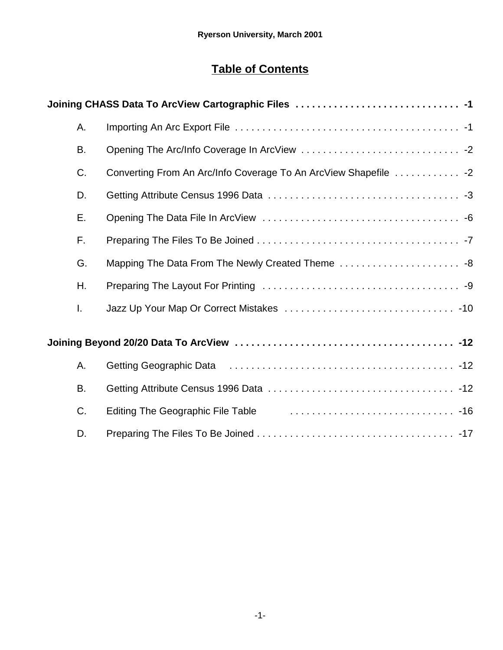# **Table of Contents**

| Α.           |                                                                  |
|--------------|------------------------------------------------------------------|
| <b>B.</b>    |                                                                  |
| C.           | Converting From An Arc/Info Coverage To An ArcView Shapefile  -2 |
| D.           |                                                                  |
| Е.           |                                                                  |
| F.           |                                                                  |
| G.           |                                                                  |
| Η.           |                                                                  |
| $\mathbf{L}$ |                                                                  |
|              |                                                                  |
| Α.           |                                                                  |
| <b>B.</b>    |                                                                  |
| C.           | Editing The Geographic File Table                                |
| D.           |                                                                  |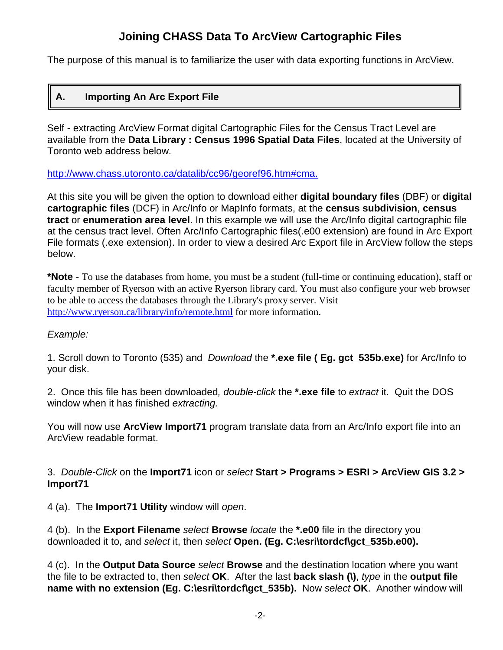# **Joining CHASS Data To ArcView Cartographic Files**

The purpose of this manual is to familiarize the user with data exporting functions in ArcView.

# **A. Importing An Arc Export File**

Self - extracting ArcView Format digital Cartographic Files for the Census Tract Level are available from the **Data Library : Census 1996 Spatial Data Files**, located at the University of Toronto web address below.

http://www.chass.utoronto.ca/datalib/cc96/georef96.htm#cma.

At this site you will be given the option to download either **digital boundary files** (DBF) or **digital cartographic files** (DCF) in Arc/Info or MapInfo formats, at the **census subdivision**, **census tract** or **enumeration area level**. In this example we will use the Arc/Info digital cartographic file at the census tract level. Often Arc/Info Cartographic files(.e00 extension) are found in Arc Export File formats (.exe extension). In order to view a desired Arc Export file in ArcView follow the steps below.

**\*Note** - To use the databases from home, you must be a student (full-time or continuing education), staff or faculty member of Ryerson with an active Ryerson library card. You must also configure your web browser to be able to access the databases through the Library's proxy server. Visit http://www.ryerson.ca/library/info/remote.html for more information.

#### *Example:*

1. Scroll down to Toronto (535) and *Download* the **\*.exe file ( Eg. gct\_535b.exe)** for Arc/Info to your disk.

2. Once this file has been downloaded*, double-click* the **\*.exe file** to *extract* it. Quit the DOS window when it has finished *extracting.*

You will now use **ArcView Import71** program translate data from an Arc/Info export file into an ArcView readable format.

3. *Double-Click* on the **Import71** icon or *select* **Start > Programs > ESRI > ArcView GIS 3.2 > Import71**

4 (a). The **Import71 Utility** window will *open*.

4 (b). In the **Export Filename** *select* **Browse** *locate* the **\*.e00** file in the directory you downloaded it to, and *select* it, then *select* **Open. (Eg. C:\esri\tordcf\gct\_535b.e00).**

4 (c). In the **Output Data Source** *select* **Browse** and the destination location where you want the file to be extracted to, then *select* **OK**. After the last **back slash (\)**, *type* in the **output file name with no extension (Eg. C:\esri\tordcf\gct\_535b).** Now *select* **OK**. Another window will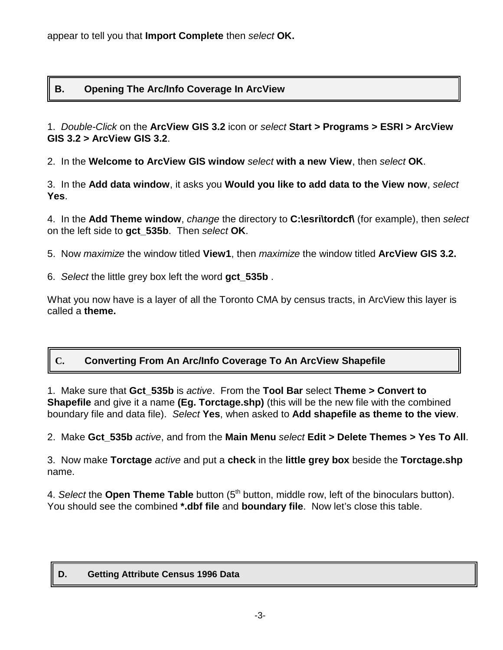### **B. Opening The Arc/Info Coverage In ArcView**

1. *Double-Click* on the **ArcView GIS 3.2** icon or *select* **Start > Programs > ESRI > ArcView GIS 3.2 > ArcView GIS 3.2**.

2. In the **Welcome to ArcView GIS window** *select* **with a new View**, then *select* **OK**.

3. In the **Add data window**, it asks you **Would you like to add data to the View now**, *select* **Yes**.

4. In the **Add Theme window**, *change* the directory to **C:\esri\tordcf\** (for example), then *select* on the left side to **gct\_535b**. Then *select* **OK**.

- 5. Now *maximize* the window titled **View1**, then *maximize* the window titled **ArcView GIS 3.2.**
- 6. *Select* the little grey box left the word **gct\_535b** .

What you now have is a layer of all the Toronto CMA by census tracts, in ArcView this layer is called a **theme.**

# **C. Converting From An Arc/Info Coverage To An ArcView Shapefile**

1. Make sure that **Gct\_535b** is *active*. From the **Tool Bar** select **Theme > Convert to Shapefile** and give it a name **(Eg. Torctage.shp)** (this will be the new file with the combined boundary file and data file). *Select* **Yes**, when asked to **Add shapefile as theme to the view**.

2. Make **Gct\_535b** *active*, and from the **Main Menu** *select* **Edit > Delete Themes > Yes To All**.

3. Now make **Torctage** *active* and put a **check** in the **little grey box** beside the **Torctage.shp** name.

4. *Select* the **Open Theme Table** button (5<sup>th</sup> button, middle row, left of the binoculars button). You should see the combined **\*.dbf file** and **boundary file**. Now let's close this table.

#### **D. Getting Attribute Census 1996 Data**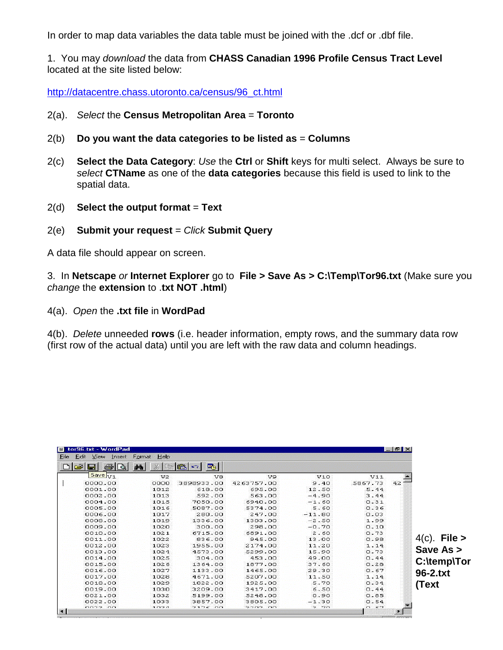In order to map data variables the data table must be joined with the .dcf or .dbf file.

1. You may *download* the data from **CHASS Canadian 1996 Profile Census Tract Level** located at the site listed below:

http://datacentre.chass.utoronto.ca/census/96\_ct.html

- 2(a). *Select* the **Census Metropolitan Area** = **Toronto**
- 2(b) **Do you want the data categories to be listed as** = **Columns**
- 2(c) **Select the Data Category**: *Use* the **Ctrl** or **Shift** keys for multi select. Always be sure to *select* **CTName** as one of the **data categories** because this field is used to link to the spatial data.
- 2(d) **Select the output format** = **Text**
- 2(e) **Submit your request** = *Click* **Submit Query**

A data file should appear on screen.

3. In **Netscape** *or* **Internet Explorer** go to **File > Save As > C:\Temp\Tor96.txt** (Make sure you *change* the **extension** to .**txt NOT .html**)

4(a). *Open* the **.txt file** in **WordPad** 

4(b). *Delete* unneeded **rows** (i.e. header information, empty rows, and the summary data row (first row of the actual data) until you are left with the raw data and column headings.

| ы       | 纳<br>滿         | 喝<br>磇<br><b>I</b> KD |            |          |         |    |
|---------|----------------|-----------------------|------------|----------|---------|----|
| Save V1 | V <sub>2</sub> | V8                    | V9.        | V10      | V11     |    |
| 0000.00 | 0000           | 3898933,00            | 4263757.00 | 9.40     | 5867.73 | 42 |
| 0001.00 | 1012           | 618.00                | 695.00     | 12.50    | 5.44    |    |
| 0002.00 | 1013           | 592.00                | 563.00     | $-4.90$  | 3.44    |    |
| 0004.00 | 1015           | 7050.00               | 6940.00    | $-1.60$  | 0.31    |    |
| 0005.00 | 1016           | 5087.00               | 5374.00    | 5.60     | 0.36    |    |
| 0006.00 | 1017           | 280.00                | 247.00     | $-11.80$ | 0.03    |    |
| 0008.00 | 1019           | 1336.00               | 1303.00    | $-2.50$  | 1.99    |    |
| 0009.00 | 1020           | 300,00                | 298.00     | $-0.70$  | 0.10    |    |
| 0010.00 | 1021           | 6715.00               | 6891.00    | 2.60     | 0.73    |    |
| 0011.00 | 1022           | 836.00                | 945.00     | 13.00    | 0.98    |    |
| 0012.00 | 1023           | 1955.00               | 2174.00    | 11.20    | 1.14    |    |
| 0013.00 | 1024           | 4573.00               | 5299.00    | 15.90    | 0.73    |    |
| 0014.00 | 1025           | 304.00                | 453.00     | 49.00    | 0.44    |    |
| 0015.00 | 1026           | 1364.00               | 1877.00    | 37.60    | 0.28    |    |
| 0016.00 | 1027           | 1133.00               | 1465.00    | 29.30    | 0.67    |    |
| 0017.00 | 1028           | 4671.00               | 5207.00    | 11.50    | 1.14    |    |
| 0018.00 | 1029           | 1822.00               | 1925.00    | 5.70     | 0.34    |    |
| 0019.00 | 1030           | 3209.00               | 3417.00    | 6.50     | 0.44    |    |
| 0021.00 | 1032           | 5199.00               | 5248.00    | 0.90     | 0.85    |    |
| 0022.00 | 1033           | 3857.00               | 3805.00    | $-1.30$  | 0.54    |    |

4(c). **File > Save As > C:\temp\Tor 96-2.txt (Text**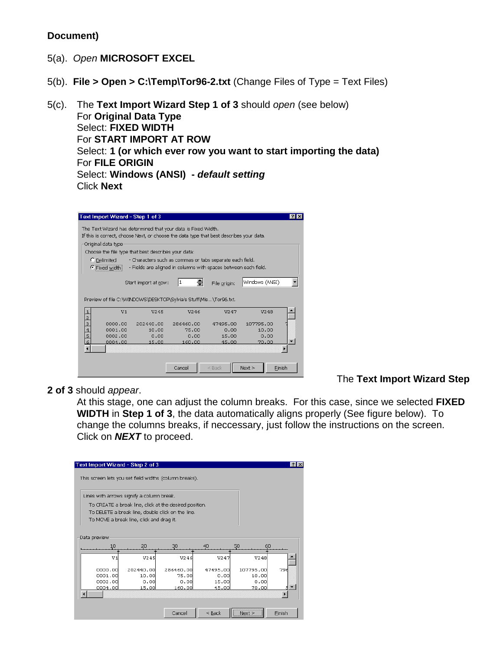#### **Document)**

- 5(a). *Open* **MICROSOFT EXCEL**
- 5(b). **File > Open > C:\Temp\Tor96-2.txt** (Change Files of Type = Text Files)
- 5(c). The **Text Import Wizard Step 1 of 3** should *open* (see below) For **Original Data Type** Select: **FIXED WIDTH** For **START IMPORT AT ROW** Select: **1 (or which ever row you want to start importing the data)** For **FILE ORIGIN** Select: **Windows (ANSI) -** *default setting* Click **Next**

|                                                                         | Text Import Wizard - Step 1 of 3                             |                                                                                                                                                          |           |          |           | $ ?  \times$ |  |  |  |  |  |  |
|-------------------------------------------------------------------------|--------------------------------------------------------------|----------------------------------------------------------------------------------------------------------------------------------------------------------|-----------|----------|-----------|--------------|--|--|--|--|--|--|
|                                                                         |                                                              | The Text Wizard has determined that your data is Fixed Width.<br>If this is correct, choose Next, or choose the data type that best describes your data. |           |          |           |              |  |  |  |  |  |  |
| Original data type                                                      |                                                              |                                                                                                                                                          |           |          |           |              |  |  |  |  |  |  |
| Choose the file type that best describes your data:                     |                                                              |                                                                                                                                                          |           |          |           |              |  |  |  |  |  |  |
| C Delimited<br>- Characters such as commas or tabs separate each field. |                                                              |                                                                                                                                                          |           |          |           |              |  |  |  |  |  |  |
|                                                                         | Fixed width!                                                 | - Fields are aligned in columns with spaces between each field.                                                                                          |           |          |           |              |  |  |  |  |  |  |
|                                                                         | Windows (ANSI)<br>11<br>Start import at row:<br>File origin: |                                                                                                                                                          |           |          |           |              |  |  |  |  |  |  |
|                                                                         |                                                              | Preview of file C:\WINDOWS\DESKTOP\Sylvia's Stuff\Mis\Tor96.txt.                                                                                         |           |          |           |              |  |  |  |  |  |  |
|                                                                         | V1                                                           | V245                                                                                                                                                     | V246      | V247     | V248      |              |  |  |  |  |  |  |
| $\frac{2}{3}$                                                           | 0000.00                                                      | 202440.00                                                                                                                                                | 286460.00 | 47495.00 | 107795.00 |              |  |  |  |  |  |  |
|                                                                         | 0001.00                                                      | 10.00                                                                                                                                                    | 75.00     | 0.00     | 10.00     |              |  |  |  |  |  |  |
| $\begin{array}{c}\n4 \\ 5 \\ 6\n\end{array}$                            | 0002.00                                                      | 0.00                                                                                                                                                     | 0.00      | 15.00    | 0.00      |              |  |  |  |  |  |  |
|                                                                         | 0004.00                                                      | 15.00                                                                                                                                                    | 160.00    | 45.00    | 70.00     |              |  |  |  |  |  |  |
|                                                                         |                                                              |                                                                                                                                                          |           |          |           |              |  |  |  |  |  |  |
|                                                                         |                                                              |                                                                                                                                                          |           |          |           |              |  |  |  |  |  |  |
|                                                                         |                                                              |                                                                                                                                                          | Cancel    | $<$ Back | Next      | Einish       |  |  |  |  |  |  |

**2 of 3** should *appear*.

The **Text Import Wizard Step**

At this stage, one can adjust the column breaks. For this case, since we selected **FIXED WIDTH** in **Step 1 of 3**, the data automatically aligns properly (See figure below). To change the columns breaks, if neccessary, just follow the instructions on the screen. Click on *NEXT* to proceed.

| Text Import Wizard - Step 2 of 3                       |                                                   |           |          |            | <b>P</b> |  |  |  |  |  |  |  |
|--------------------------------------------------------|---------------------------------------------------|-----------|----------|------------|----------|--|--|--|--|--|--|--|
| This screen lets you set field widths (column breaks). |                                                   |           |          |            |          |  |  |  |  |  |  |  |
| Lines with arrows signify a column break.              |                                                   |           |          |            |          |  |  |  |  |  |  |  |
| To CREATE a break line, click at the desired position. |                                                   |           |          |            |          |  |  |  |  |  |  |  |
|                                                        | To DELETE a break line, double click on the line. |           |          |            |          |  |  |  |  |  |  |  |
| To MOVE a break line, click and drag it.               |                                                   |           |          |            |          |  |  |  |  |  |  |  |
|                                                        |                                                   |           |          |            |          |  |  |  |  |  |  |  |
| Data preview                                           |                                                   |           |          |            |          |  |  |  |  |  |  |  |
| 10                                                     | 20                                                | 30        | 40       | 50<br>ñП   |          |  |  |  |  |  |  |  |
| V <sub>1</sub>                                         | V245                                              | V246      | V247     | V248       |          |  |  |  |  |  |  |  |
| 0000.00                                                | 202440.00                                         | 286460.00 | 47495.00 | 107795.00  | 796      |  |  |  |  |  |  |  |
| 0001.00                                                | 10.00                                             | 75.00     | 0.00     | 10.00      |          |  |  |  |  |  |  |  |
| 0002.00                                                | 0.00                                              | 0.00      | 15.00    | 0.00       |          |  |  |  |  |  |  |  |
| 0004.00                                                | 15.00                                             | 160.OO    | 45.00    | 70.00      |          |  |  |  |  |  |  |  |
|                                                        |                                                   |           |          |            |          |  |  |  |  |  |  |  |
|                                                        |                                                   |           |          |            |          |  |  |  |  |  |  |  |
|                                                        |                                                   | Cancel    | $<$ Back | <br>Next > | Finish   |  |  |  |  |  |  |  |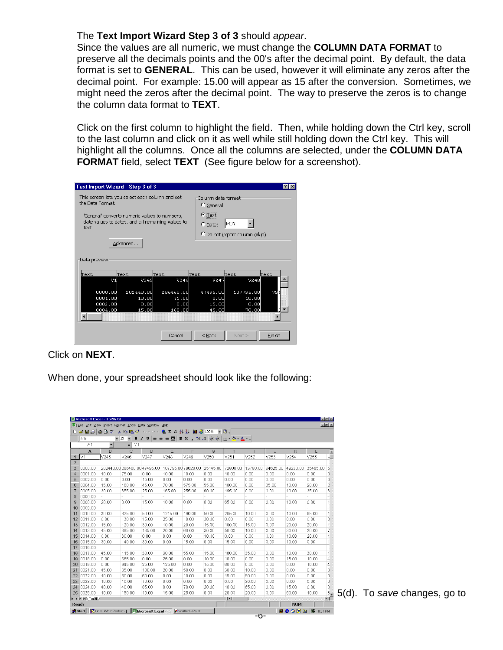#### The **Text Import Wizard Step 3 of 3** should *appear*.

Since the values are all numeric, we must change the **COLUMN DATA FORMAT** to preserve all the decimals points and the 00's after the decimal point. By default, the data format is set to **GENERAL**. This can be used, however it will eliminate any zeros after the decimal point. For example: 15.00 will appear as 15 after the conversion. Sometimes, we might need the zeros after the decimal point. The way to preserve the zeros is to change the column data format to **TEXT**.

Click on the first column to highlight the field. Then, while holding down the Ctrl key, scroll to the last column and click on it as well while still holding down the Ctrl key. This will highlight all the columns. Once all the columns are selected, under the **COLUMN DATA FORMAT** field, select **TEXT** (See figure below for a screenshot).

| Text Import Wizard - Step 3 of 3                                             |                                                                                                    |                                      |                                              |                                     | ? x    |  |  |  |  |  |
|------------------------------------------------------------------------------|----------------------------------------------------------------------------------------------------|--------------------------------------|----------------------------------------------|-------------------------------------|--------|--|--|--|--|--|
| This screen lets you select each column and set<br>the Data Enrmat.<br>text. | 'General' converts numeric values to numbers,<br>date values to dates, and all remaining values to |                                      | C General<br>$\epsilon$ Text<br>$\cap$ Date: | Column data format-<br>MDY          |        |  |  |  |  |  |
| C Do not import column (skip)<br>Advanced<br>Data preview                    |                                                                                                    |                                      |                                              |                                     |        |  |  |  |  |  |
| Text                                                                         | Text                                                                                               | Text                                 | lText                                        | lText.                              | lText  |  |  |  |  |  |
| VI                                                                           | V245                                                                                               | V246                                 | V247                                         | V248                                |        |  |  |  |  |  |
| 0000.00<br>0001.00<br>0002.00<br>0004.00                                     | 202440.00<br>10.00<br>0.00<br>15,00                                                                | 286460.00<br>75.00<br>0.00<br>160.00 | 47495.00<br>0.00<br>15.00<br>45.00           | 107795.00<br>10.00<br>0.00<br>70.00 | 79     |  |  |  |  |  |
|                                                                              |                                                                                                    |                                      |                                              |                                     |        |  |  |  |  |  |
|                                                                              |                                                                                                    | Cancel                               | $<$ Back                                     | Next                                | Finish |  |  |  |  |  |

Click on **NEXT**.

When done, your spreadsheet should look like the following:

|                |                                         | Microsoft Excel - Tor96.bt                                               |                                     |             |                                                                                          |                     |                  |                                            |          |          |              |              | <b>EF</b> X<br>$-10x$    |
|----------------|-----------------------------------------|--------------------------------------------------------------------------|-------------------------------------|-------------|------------------------------------------------------------------------------------------|---------------------|------------------|--------------------------------------------|----------|----------|--------------|--------------|--------------------------|
|                |                                         | File Edit View Insert Format Tools Data Window Help                      |                                     |             |                                                                                          |                     |                  |                                            |          |          |              |              |                          |
|                | $D \cong H \oplus B \otimes \mathbb{V}$ |                                                                          | $\lambda$ the ex $\sigma$ of $\sim$ |             | $\left  \begin{array}{ccc} 0 & \sum f_i & \frac{1}{2} & \frac{7}{4} \end{array} \right $ |                     | <b>龍 48 100%</b> | $-2$ .                                     |          |          |              |              |                          |
|                | Arial                                   | $-10$                                                                    | $\overline{\phantom{a}}$            | $B$ $I$ $U$ | 事事事関                                                                                     | $*3.38$<br>$$ \%$ , | 信徒               | $\mathbb{H} \cdot \mathbb{A}$ $\mathbb{A}$ |          |          |              |              |                          |
|                | A1                                      | $\overline{\phantom{a}}$                                                 | V <sub>1</sub><br>٠                 |             |                                                                                          |                     |                  |                                            |          |          |              |              |                          |
|                | A                                       | B                                                                        | C                                   | D           | E                                                                                        | F                   | G                | H                                          |          | J        | Κ            |              | $\overline{ }$           |
| 1              | V <sub>1</sub>                          | V245                                                                     | V246                                | V247        | V248                                                                                     | V249                | V250             | V251                                       | V252     | V253     | V254         | V255         | V.                       |
| $\overline{2}$ |                                         |                                                                          |                                     |             |                                                                                          |                     |                  |                                            |          |          |              |              |                          |
| 3              | 0000.00                                 |                                                                          | 202440.00 286460.00 47495.00        |             | 107795.0079620.00                                                                        |                     | 25145.00         | 72800.00                                   | 13780.00 | 64625.00 | 49230.00     | 35485.00     | 5                        |
| $\overline{4}$ | 0001.00                                 | 10.00                                                                    | 75.00                               | 0.00        | 10.00                                                                                    | 10.00               | 0.00             | 10.00                                      | 0.00     | 0.00     | 0.00         | 0.00         | 0                        |
| 5              | 0002.00                                 | 0.00                                                                     | 0.00                                | 15.00       | 0.00                                                                                     | 0.00                | 0.00             | 0.00                                       | 0.00     | 0.00     | 0.00         | 0.00         | 0                        |
| 6              | 0004.00                                 | 15.00                                                                    | 160.00                              | 45.00       | 70.00                                                                                    | 575.00              | 55.00            | 180.00                                     | 0.00     | 35.00    | 10.00        | 90.00        | $\overline{c}$           |
| 7              | 0005.00                                 | 30.00                                                                    | 355.00                              | 25.00       | 165.00                                                                                   | 255.00              | 60.00            | 195.00                                     | 0.00     | 0.00     | 10.00        | 35.00        | 3                        |
| 8              | 0006.00                                 |                                                                          |                                     |             |                                                                                          |                     |                  |                                            |          |          |              |              | $\sim$                   |
| $\overline{9}$ | 0008.00                                 | 20.00                                                                    | 0.00                                | 15.00       | 10.00                                                                                    | 0.00                | 0.00             | 65.00                                      | 0.00     | 0.00     | 10.00        | 0.00         | $\mathbf{1}$             |
| 10             | 0009.00                                 |                                                                          |                                     |             |                                                                                          |                     |                  |                                            |          |          |              |              | $\overline{\phantom{a}}$ |
| 1'             | 0010.00                                 | 30.00                                                                    | 625.00                              | 50.00       | 1215.00                                                                                  | 190.00              | 50.00            | 205.00                                     | 10.00    | 0.00     | 10.00        | 65.00        | $\mathbf{1}$             |
| 12             | 0011.00                                 | 0.00                                                                     | 130.00                              | 15.00       | 25.00                                                                                    | 10.00               | 30.00            | 0.00                                       | 0.00     | 0.00     | 0.00         | 0.00         | 0                        |
| 13             | 0012.00                                 | 15.00                                                                    | 120.00                              | 30.00       | 10.00                                                                                    | 20.00               | 15.00            | 100.00                                     | 15.00    | 0.00     | 20.00        | 20.00        | $\mathbf{1}$             |
| 14             | 0013.00                                 | 45.00                                                                    | 395.00                              | 135.00      | 20.00                                                                                    | 60.00               | 30.00            | 50.00                                      | 10.00    | 0.00     | 30.00        | 20.00        | 7                        |
| 15             | 0014.00                                 | 0.00                                                                     | 60.00                               | 0.00        | 0.00                                                                                     | 0.00                | 10.00            | 0.00                                       | 0.00     | 0.00     | 10.00        | 20.00        | 1                        |
| 16             | 0015.00                                 | 30.00                                                                    | 140.00                              | 30.00       | 0.00                                                                                     | 15.00               | 0.00             | 15.00                                      | 0.00     | 0.00     | 10.00        | 0.00         | $\mathbf{1}$             |
| 17             | 0016.00                                 |                                                                          |                                     |             | ۰                                                                                        | L.                  | a.               | L,                                         |          |          |              |              | $\overline{\phantom{a}}$ |
| 18             | 0017.00                                 | 45.00                                                                    | 115.00                              | 30.00       | 30.00                                                                                    | 55.00               | 15.00            | 160.00                                     | 35.00    | 0.00     | 10.00        | 30.00        | $\mathbf{1}$             |
| 19             | 0018.00                                 | 0.00                                                                     | 365.00                              | 0.00        | 25.00                                                                                    | 0.00                | 10.00            | 10.00                                      | 0.00     | 0.00     | 15.00        | 10.00        | 4                        |
| 20             | 0019.00                                 | 0.00                                                                     | 945.00                              | 25.00       | 125.00                                                                                   | 0.00                | 15.00            | 60.00                                      | 0.00     | 0.00     | 0.00         | 10.00        | 4                        |
| 2 <sup>′</sup> | 0021.00                                 | 45.00                                                                    | 35.00                               | 100.00      | 20.00                                                                                    | 50.00               | 0.00             | 30.00                                      | 10.00    | 0.00     | 0.00         | 0.00         | 0                        |
| 22             | 0022.00                                 | 10.00                                                                    | 50.00                               | 60.00       | 0.00                                                                                     | 10.00               | 0.00             | 15.00                                      | 50.00    | 0.00     | 0.00         | 0.00         | 0                        |
| 23             | 0023.00                                 | 10.00                                                                    | 10.00                               | 70.00       | 0.00                                                                                     | 0.00                | 0.00             | 0.00                                       | 30.00    | 0.00     | 0.00         | 0.00         | 0                        |
| 24             | 0024.00                                 | 40.00                                                                    | 40.00                               | 85.00       | 0.00                                                                                     | 70.00               | 20.00            | 10.00                                      | 65.00    | 0.00     | 15.00        | 0.00         | $\mathbf{0}$             |
| 25             | 0025.00                                 | 10.00                                                                    | 150.00                              | 10.00       | 15.00                                                                                    | 25.00               | 0.00             | 20.00                                      | 20.00    | 0.00     | 60.00        | 10.00        | $8 -$                    |
|                | $\vert$ 4 + $\vert$ + $\vert$ Tor96/    |                                                                          |                                     |             |                                                                                          |                     |                  | $\vert \cdot \vert$                        |          |          |              |              | ▶ΙΓ                      |
|                | Ready                                   |                                                                          |                                     |             |                                                                                          |                     |                  |                                            |          |          | <b>NUM</b>   |              |                          |
|                |                                         | Start   Corel WordPerfect - [   X Microsoft Excel -    Funtitled - Paint |                                     |             |                                                                                          |                     |                  |                                            |          |          | <b>Besha</b> | 騗<br>8:07 PM |                          |

5(d). To *save* changes, go to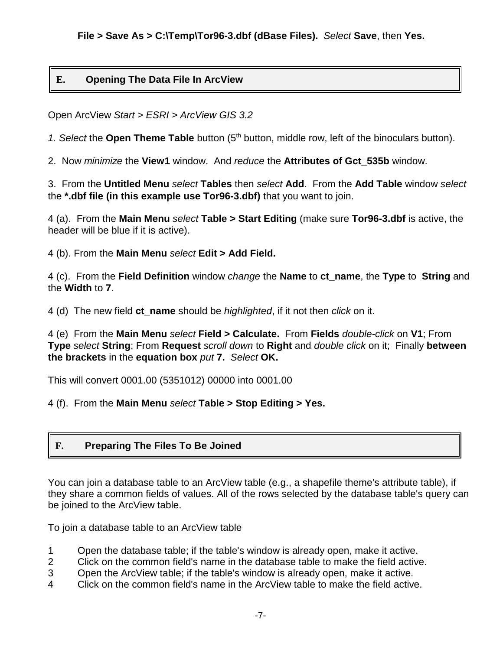# **E. Opening The Data File In ArcView**

Open ArcView *Start > ESRI > ArcView GIS 3.2*

1. Select the **Open Theme Table** button (5<sup>th</sup> button, middle row, left of the binoculars button).

2. Now *minimize* the **View1** window. And *reduce* the **Attributes of Gct\_535b** window.

3. From the **Untitled Menu** *select* **Tables** then *select* **Add**. From the **Add Table** window *select* the **\*.dbf file (in this example use Tor96-3.dbf)** that you want to join.

4 (a). From the **Main Menu** *select* **Table > Start Editing** (make sure **Tor96-3.dbf** is active, the header will be blue if it is active).

4 (b). From the **Main Menu** *select* **Edit > Add Field.**

4 (c). From the **Field Definition** window *change* the **Name** to **ct\_name**, the **Type** to **String** and the **Width** to **7**.

4 (d) The new field **ct\_name** should be *highlighted*, if it not then *click* on it.

4 (e) From the **Main Menu** *select* **Field > Calculate.** From **Fields** *double-click* on **V1**; From **Type** *select* **String**; From **Request** *scroll down* to **Right** and *double click* on it; Finally **between the brackets** in the **equation box** *put* **7.** *Select* **OK.**

This will convert 0001.00 (5351012) 00000 into 0001.00

4 (f). From the **Main Menu** *select* **Table > Stop Editing > Yes.**

#### **F. Preparing The Files To Be Joined**

You can ioin a database table to an ArcView table (e.g., a shapefile theme's attribute table), if they share a common fields of values. All of the rows selected by the database table's query can be joined to the ArcView table.

To join a database table to an ArcView table

- 1 Open the database table; if the table's window is already open, make it active.
- 2 Click on the common field's name in the database table to make the field active.
- 3 Open the ArcView table; if the table's window is already open, make it active.
- 4 Click on the common field's name in the ArcView table to make the field active.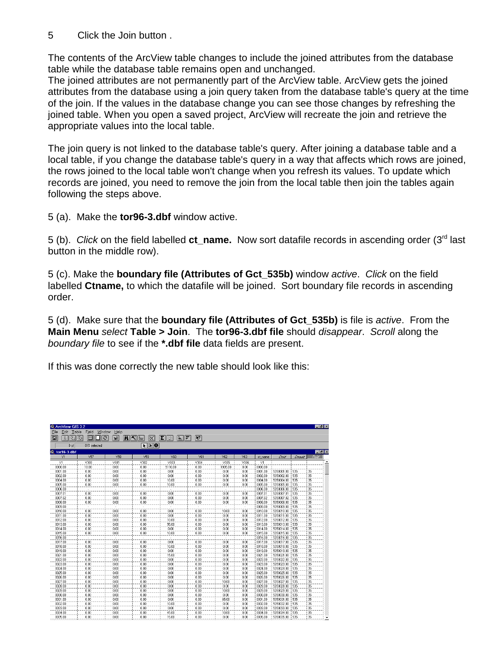5 Click the Join button .

The contents of the ArcView table changes to include the joined attributes from the database table while the database table remains open and unchanged.

The joined attributes are not permanently part of the ArcView table. ArcView gets the joined attributes from the database using a join query taken from the database table's query at the time of the join. If the values in the database change you can see those changes by refreshing the joined table. When you open a saved project, ArcView will recreate the join and retrieve the appropriate values into the local table.

The join query is not linked to the database table's query. After joining a database table and a local table, if you change the database table's query in a way that affects which rows are joined, the rows joined to the local table won't change when you refresh its values. To update which records are joined, you need to remove the join from the local table then join the tables again following the steps above.

5 (a). Make the **tor96-3.dbf** window active.

5 (b). *Click* on the field labelled **ct\_name.** Now sort datafile records in ascending order (3rd last button in the middle row).

5 (c). Make the **boundary file (Attributes of Gct\_535b)** window *active*. *Click* on the field labelled **Ctname,** to which the datafile will be joined. Sort boundary file records in ascending order.

5 (d). Make sure that the **boundary file (Attributes of Gct\_535b)** is file is *active*. From the **Main Menu** *select* **Table > Join**. The **tor96-3.dbf file** should *disappear*. *Scroll* along the *boundary file* to see if the **\*.dbf file** data fields are present.

If this was done correctly the new table should look like this:

| & ArcView GIS 3.2                                                                                                                                                                                                                          |                 |               |                             |                                     |         |         |                          |         |            |         |                 | $\blacksquare$ $\blacksquare$ $\times$ |
|--------------------------------------------------------------------------------------------------------------------------------------------------------------------------------------------------------------------------------------------|-----------------|---------------|-----------------------------|-------------------------------------|---------|---------|--------------------------|---------|------------|---------|-----------------|----------------------------------------|
| Edit<br>Table<br>File                                                                                                                                                                                                                      | Window<br>Field | Help          |                             |                                     |         |         |                          |         |            |         |                 |                                        |
| 圓<br>-SC<br>the second second second second second second second second second second second second second second second second second second second second second second second second second second second second second second second s | 隐<br>目          | G<br><b>M</b> | MI (IL<br>ෙ                 | $ \Sigma  \mathbb{I} $<br>⊪₹<br>IÈ. | $R^2$   |         |                          |         |            |         |                 |                                        |
|                                                                                                                                                                                                                                            |                 |               |                             |                                     |         |         |                          |         |            |         |                 |                                        |
| 0 <sub>o</sub>                                                                                                                                                                                                                             | 815 selected    |               | $\frac{1}{2}$               |                                     |         |         |                          |         |            |         |                 |                                        |
| tor96-3.dbf                                                                                                                                                                                                                                |                 |               |                             |                                     |         |         |                          |         |            |         |                 | $E$ $x$                                |
| V1                                                                                                                                                                                                                                         | V57             | V58           | V59                         | V60                                 | V61     | V62     | V63                      | ct name | Chied      | Consult | Pruid           |                                        |
| V1                                                                                                                                                                                                                                         | V300            | V301          | V302                        | V303                                | V304    | V305    | V306                     | V1      |            |         |                 |                                        |
| 0000.00                                                                                                                                                                                                                                    | 10.00           | 0.00          | 0.00                        | 5110.00                             | 0.00    | 1935.00 | 0.00                     | 0000.00 |            |         |                 |                                        |
| 0001.00                                                                                                                                                                                                                                    | 0.00            | 0.00          | 0.00                        | 000                                 | 0.00    | 0.00    | 0.00                     | 0001.00 | 5350001.00 | 535     | 35              |                                        |
| 0002.00                                                                                                                                                                                                                                    | 0.00            | 0.00          | 0.00                        | 0.00                                | 0.00    | 0.00    | 0.00                     | 0002.00 | 5350002.00 | 535     | 35              |                                        |
| 0004.00                                                                                                                                                                                                                                    | 0.00            | 0.00          | 0.00                        | 10.00                               | 0.00    | 0.00    | 0.00                     | 0004.00 | 5350004.00 | 535     | 35              |                                        |
| 0005.00                                                                                                                                                                                                                                    | 0.00            | 0.00          | 0.00                        | 10.00                               | 0.00    | 0.00    | 0.00                     | 0005.00 | 5350005.00 | 535     | 35              |                                        |
| 0006.00                                                                                                                                                                                                                                    |                 |               |                             |                                     | $\cdot$ |         |                          | 0006.00 | 5350006.00 | 535     | 35              |                                        |
| 0007.01                                                                                                                                                                                                                                    | 0.00            | 0.00          | 0.00                        | 0.00                                | 0.00    | 0.00    | 0.00                     | 0007.01 | 5350007.01 | 535     | 35              |                                        |
| 0007.02                                                                                                                                                                                                                                    | 0.00            | 0.00          | 0.00                        | 0.00                                | 0.00    | 0.00    | 0.00                     | 0007.02 | 5350007.02 | 535     | 35              |                                        |
| 0008.00                                                                                                                                                                                                                                    | 0.00            | 0.00          | 0.00                        | 0.00                                | 0.00    | 0.00    | 0.00                     | 0008.00 | 5350008.00 | 535     | 35              |                                        |
| 0009.00                                                                                                                                                                                                                                    |                 |               |                             |                                     |         |         | $\overline{\phantom{a}}$ | 0009.00 | 5350009.00 | 535     | 35              |                                        |
| 0010.00                                                                                                                                                                                                                                    | 0.00            | 0.00          | 0.00                        | 0.00                                | 0.00    | 10.00   | 0.00                     | 0010.00 | 5350010.00 | 535     | 35              |                                        |
| 0011.00                                                                                                                                                                                                                                    | 0.00            | 0.00          | 0.00                        | 0.00                                | 0.00    | 0.00    | 0.00                     | 0011.00 | 5350011.00 | 535     | 35              |                                        |
| 0012.00                                                                                                                                                                                                                                    | 0.00            | 0.00          | 0.00                        | 10.00                               | 0.00    | 0.00    | 0.00                     | 0012.00 | 5350012.00 | 535     | 35              |                                        |
| 0013.00                                                                                                                                                                                                                                    | 0.00            | 000           | 0.00                        | 55.00                               | 0.00    | 0.00    | 0.00                     | 0013.00 | 5350013.00 | 535     | 35              |                                        |
| 0014.00                                                                                                                                                                                                                                    | 0.00            | 0.00          | 0.00                        | 0.00                                | 0.00    | 0.00    | 0.00                     | 0014.00 | 5350014.00 | 535     | 35              |                                        |
| 0015.00                                                                                                                                                                                                                                    | 0.00            | 0.00          | 0.00                        | 10.00                               | 0.00    | 0.00    | 0.00                     | 0015.00 | 5350015.00 | 535     | 35              |                                        |
| 0016.00                                                                                                                                                                                                                                    | $\sim$          | $\Delta$      | $\mathcal{L}_{\mathcal{A}}$ | $\mathcal{L}$                       | $\sim$  | $\sim$  | $\sim$                   | 0016.00 | 5350016.00 | 1535    | 35              |                                        |
| 0017.00                                                                                                                                                                                                                                    | 0.00            | 0.00          | 0.00                        | 0.00                                | 0.00    | 0.00    | 0.00                     | 0017.00 | 5350017.00 | 1535    | 35              |                                        |
| 0018.00                                                                                                                                                                                                                                    | 0.00            | 0.00          | 0.00                        | 10.00                               | 0.00    | 0.00    | 0.00                     | 0018.00 | 5350018.00 | 535     | 35              |                                        |
| 0019.00                                                                                                                                                                                                                                    | 0.00            | 0.00          | 0.00                        | 0.00                                | 0.00    | 0.00    | 0.00                     | 0019.00 | 5350019.00 | 535     | 35              |                                        |
| 0021.00                                                                                                                                                                                                                                    | 0.00            | 0.00          | 0.00                        | 15.00                               | 0.00    | 0.00    | 0.00                     | 0021.00 | 5350021.00 | 535     | 35              |                                        |
| 0022.00                                                                                                                                                                                                                                    | 0.00            | 0.00          | 0.00                        | 0.00                                | 0.00    | 0.00    | 0.00                     | 0022.00 | 5350022.00 | 535     | 35              |                                        |
| 0023.00                                                                                                                                                                                                                                    | 0.00            | 0.00          | 0.00                        | 0.00                                | 0.00    | 0.00    | 0.00                     | 0023.00 | 5350023.00 | 535     | $\overline{35}$ |                                        |
| 0024.00                                                                                                                                                                                                                                    | 0.00            | 0.00          | 0.00                        | 0.00                                | 0.00    | 0.00    | 0.00                     | 0024.00 | 5350024.00 | 535     | 35              |                                        |
| 0025.00                                                                                                                                                                                                                                    | 0.00            | 0.00          | 0.00                        | 0.00                                | 0.00    | 0.00    | 0.00                     | 0025.00 | 5350025.00 | 535     | 35              |                                        |
| 0026.00                                                                                                                                                                                                                                    | 0.00            | 0.00          | 0.00                        | 0.00                                | 0.00    | 0.00    | 0.00                     | 0026.00 | 5350026.00 | 535     | $\overline{35}$ |                                        |
| 0027.00                                                                                                                                                                                                                                    | 0.00            | 0.00          | 0.00                        | 0.00                                | 0.00    | 10.00   | 0.00                     | 0027.00 | 5350027.00 | 535     | 35              |                                        |
| 0028.00                                                                                                                                                                                                                                    | 0.00            | 0.00          | 0.00                        | 0.00                                | 0.00    | 0.00    | 0.00                     | 0028.00 | 5350028.00 | 535     | 35              |                                        |
| 0029.00                                                                                                                                                                                                                                    | 0.00            | 0.00          | 0.00                        | 0.00                                | 0.00    | 10.00   | 0.00                     | 0029.00 | 5350029.00 | 535     | 35              |                                        |
| 0030.00                                                                                                                                                                                                                                    | 0.00            | 0.00          | 0.00                        | 0.00                                | 0.00    | 0.00    | 0.00                     | 0030.00 | 5350030.00 | 535     | 35              |                                        |
| 0031.00                                                                                                                                                                                                                                    | 0.00            | 0.00          | 0.00                        | 0.00                                | 0.00    | 65.00   | 0.00                     | 0031.00 | 5350031.00 | 535     | 35              |                                        |
| 0032.00                                                                                                                                                                                                                                    | 0.00            | 0.00          | 0.00                        | 10.00                               | 0.00    | 0.00    | 0.00                     | 0032.00 | 5350032.00 | 535     | 35              |                                        |
| 0033.00                                                                                                                                                                                                                                    | 0.00            | 0.00          | 0.00                        | 0.00                                | 0.00    | 0.00    | 0.00                     | 0033.00 | 5350033.00 | 535     | 35              |                                        |
| 0034.00                                                                                                                                                                                                                                    | 0.00            | 0.00          | 0.00                        | 45.00                               | 0.00    | 10.00   | 0.00                     | 0034.00 | 5350034.00 | 535     | 35              |                                        |
| 0035.00                                                                                                                                                                                                                                    | 0.00            | 0.00          | 0.00                        | 15.00                               | 0.00    | 0.00    | 0.00                     | 0035.00 | 5350035.00 | 535     | $\overline{35}$ | $\overline{\phantom{a}}$               |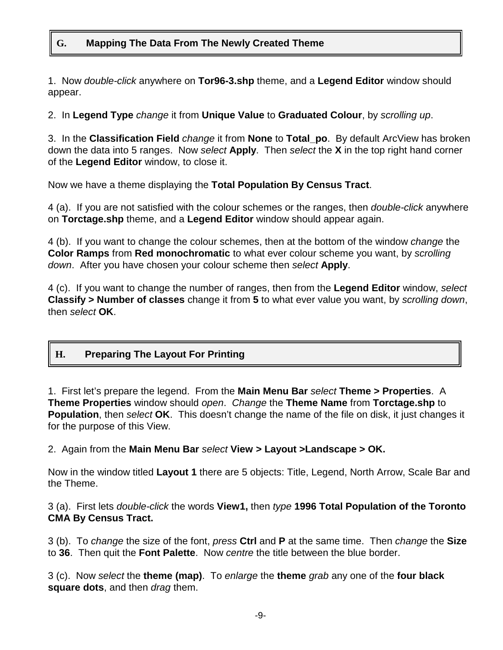# **G. Mapping The Data From The Newly Created Theme**

1. Now *double-click* anywhere on **Tor96-3.shp** theme, and a **Legend Editor** window should appear.

2. In **Legend Type** *change* it from **Unique Value** to **Graduated Colour**, by *scrolling up*.

3. In the **Classification Field** *change* it from **None** to **Total\_po**. By default ArcView has broken down the data into 5 ranges. Now *select* **Apply**. Then *select* the **X** in the top right hand corner of the **Legend Editor** window, to close it.

Now we have a theme displaying the **Total Population By Census Tract**.

4 (a). If you are not satisfied with the colour schemes or the ranges, then *double-click* anywhere on **Torctage.shp** theme, and a **Legend Editor** window should appear again.

4 (b). If you want to change the colour schemes, then at the bottom of the window *change* the **Color Ramps** from **Red monochromatic** to what ever colour scheme you want, by *scrolling down*. After you have chosen your colour scheme then *select* **Apply**.

4 (c). If you want to change the number of ranges, then from the **Legend Editor** window, *select* **Classify > Number of classes** change it from **5** to what ever value you want, by *scrolling down*, then *select* **OK**.

# **H. Preparing The Layout For Printing**

1. First let's prepare the legend. From the **Main Menu Bar** *select* **Theme > Properties**. A **Theme Properties** window should *open*. *Change* the **Theme Name** from **Torctage.shp** to **Population**, then *select* **OK**. This doesn't change the name of the file on disk, it just changes it for the purpose of this View.

2. Again from the **Main Menu Bar** *select* **View > Layout >Landscape > OK.**

Now in the window titled **Layout 1** there are 5 objects: Title, Legend, North Arrow, Scale Bar and the Theme.

3 (a). First lets *double-click* the words **View1,** then *type* **1996 Total Population of the Toronto CMA By Census Tract.**

3 (b). To *change* the size of the font, *press* **Ctrl** and **P** at the same time. Then *change* the **Size** to **36**. Then quit the **Font Palette**. Now *centre* the title between the blue border.

3 (c). Now *select* the **theme (map)**. To *enlarge* the **theme** *grab* any one of the **four black square dots**, and then *drag* them.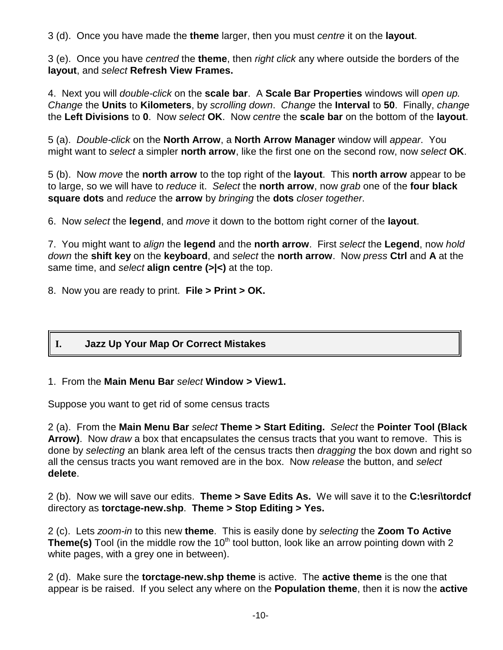3 (d). Once you have made the **theme** larger, then you must *centre* it on the **layout**.

3 (e). Once you have *centred* the **theme**, then *right click* any where outside the borders of the **layout**, and *select* **Refresh View Frames.**

4. Next you will *double-click* on the **scale bar**. A **Scale Bar Properties** windows will *open up. Change* the **Units** to **Kilometers**, by *scrolling down*. *Change* the **Interval** to **50**. Finally, *change* the **Left Divisions** to **0**. Now *select* **OK**. Now *centre* the **scale bar** on the bottom of the **layout**.

5 (a). *Double-click* on the **North Arrow**, a **North Arrow Manager** window will *appear*. You might want to *select* a simpler **north arrow**, like the first one on the second row, now *select* **OK**.

5 (b). Now *move* the **north arrow** to the top right of the **layout**. This **north arrow** appear to be to large, so we will have to *reduce* it. *Select* the **north arrow**, now *grab* one of the **four black square dots** and *reduce* the **arrow** by *bringing* the **dots** *closer together*.

6. Now *select* the **legend**, and *move* it down to the bottom right corner of the **layout**.

7. You might want to *align* the **legend** and the **north arrow**. First *select* the **Legend**, now *hold down* the **shift key** on the **keyboard**, and *select* the **north arrow**. Now *press* **Ctrl** and **A** at the same time, and *select* **align centre (>|<)** at the top.

8. Now you are ready to print. **File > Print > OK.**

# **I. Jazz Up Your Map Or Correct Mistakes**

#### 1. From the **Main Menu Bar** *select* **Window > View1.**

Suppose you want to get rid of some census tracts

2 (a). From the **Main Menu Bar** *select* **Theme > Start Editing.** *Select* the **Pointer Tool (Black Arrow)**. Now *draw* a box that encapsulates the census tracts that you want to remove. This is done by *selecting* an blank area left of the census tracts then *dragging* the box down and right so all the census tracts you want removed are in the box. Now *release* the button, and *select* **delete**.

2 (b). Now we will save our edits. **Theme > Save Edits As.** We will save it to the **C:\esri\tordcf** directory as **torctage-new.shp**. **Theme > Stop Editing > Yes.**

2 (c). Lets *zoom-in* to this new **theme**. This is easily done by *selecting* the **Zoom To Active Theme(s)** Tool (in the middle row the 10<sup>th</sup> tool button, look like an arrow pointing down with 2 white pages, with a grey one in between).

2 (d). Make sure the **torctage-new.shp theme** is active. The **active theme** is the one that appear is be raised. If you select any where on the **Population theme**, then it is now the **active**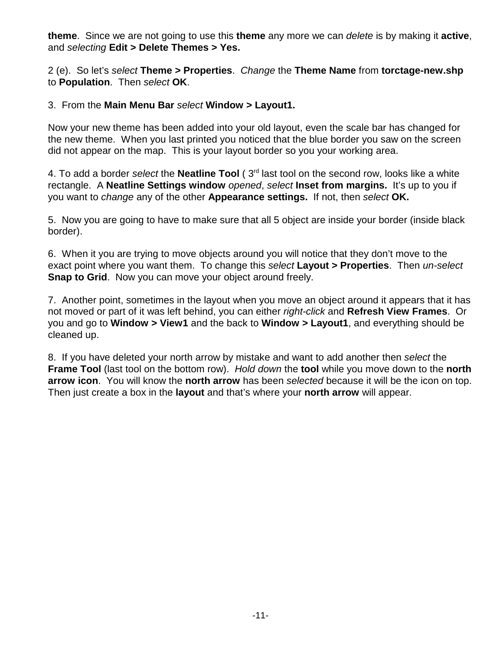**theme**. Since we are not going to use this **theme** any more we can *delete* is by making it **active**, and *selecting* **Edit > Delete Themes > Yes.**

2 (e). So let's *select* **Theme > Properties**. *Change* the **Theme Name** from **torctage-new.shp** to **Population**. Then *select* **OK**.

#### 3. From the **Main Menu Bar** *select* **Window > Layout1.**

Now your new theme has been added into your old layout, even the scale bar has changed for the new theme. When you last printed you noticed that the blue border you saw on the screen did not appear on the map. This is your layout border so you your working area.

4. To add a border *select* the **Neatline Tool** ( 3rd last tool on the second row, looks like a white rectangle. A **Neatline Settings window** *opened*, *select* **Inset from margins.** It's up to you if you want to *change* any of the other **Appearance settings.** If not, then *select* **OK.**

5. Now you are going to have to make sure that all 5 object are inside your border (inside black border).

6. When it you are trying to move objects around you will notice that they don't move to the exact point where you want them. To change this *select* **Layout > Properties**. Then *un-select* **Snap to Grid.** Now you can move your object around freely.

7. Another point, sometimes in the layout when you move an object around it appears that it has not moved or part of it was left behind, you can either *right-click* and **Refresh View Frames**. Or you and go to **Window > View1** and the back to **Window > Layout1**, and everything should be cleaned up.

8. If you have deleted your north arrow by mistake and want to add another then *select* the **Frame Tool** (last tool on the bottom row). *Hold down* the **tool** while you move down to the **north arrow icon**. You will know the **north arrow** has been *selected* because it will be the icon on top. Then just create a box in the **layout** and that's where your **north arrow** will appear.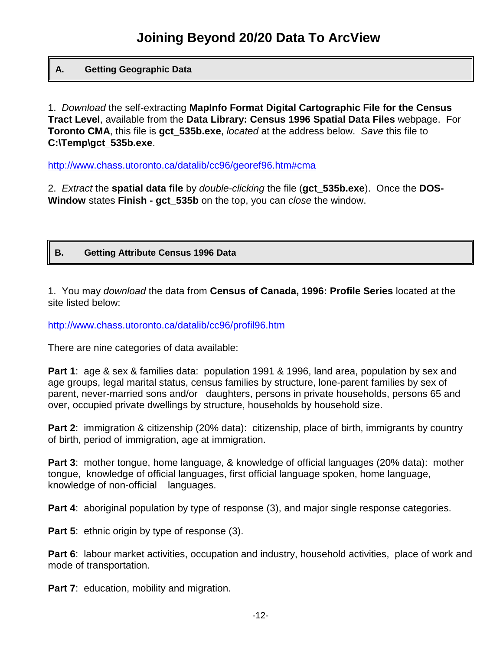#### **A. Getting Geographic Data**

1. *Download* the self-extracting **MapInfo Format Digital Cartographic File for the Census Tract Level**, available from the **Data Library: Census 1996 Spatial Data Files** webpage. For **Toronto CMA**, this file is **gct\_535b.exe**, *located* at the address below. *Save* this file to **C:\Temp\gct\_535b.exe**.

http://www.chass.utoronto.ca/datalib/cc96/georef96.htm#cma

2. *Extract* the **spatial data file** by *double-clicking* the file (**gct\_535b.exe**). Once the **DOS-Window** states **Finish - gct\_535b** on the top, you can *close* the window.

#### **B. Getting Attribute Census 1996 Data**

1. You may *download* the data from **Census of Canada, 1996: Profile Series** located at the site listed below:

http://www.chass.utoronto.ca/datalib/cc96/profil96.htm

There are nine categories of data available:

**Part 1:** age & sex & families data: population 1991 & 1996, land area, population by sex and age groups, legal marital status, census families by structure, lone-parent families by sex of parent, never-married sons and/or daughters, persons in private households, persons 65 and over, occupied private dwellings by structure, households by household size.

**Part 2:** immigration & citizenship (20% data): citizenship, place of birth, immigrants by country of birth, period of immigration, age at immigration.

**Part 3**: mother tongue, home language, & knowledge of official languages (20% data): mother tongue, knowledge of official languages, first official language spoken, home language, knowledge of non-official languages.

**Part 4:** aboriginal population by type of response (3), and major single response categories.

**Part 5:** ethnic origin by type of response (3).

**Part 6:** labour market activities, occupation and industry, household activities, place of work and mode of transportation.

**Part 7:** education, mobility and migration.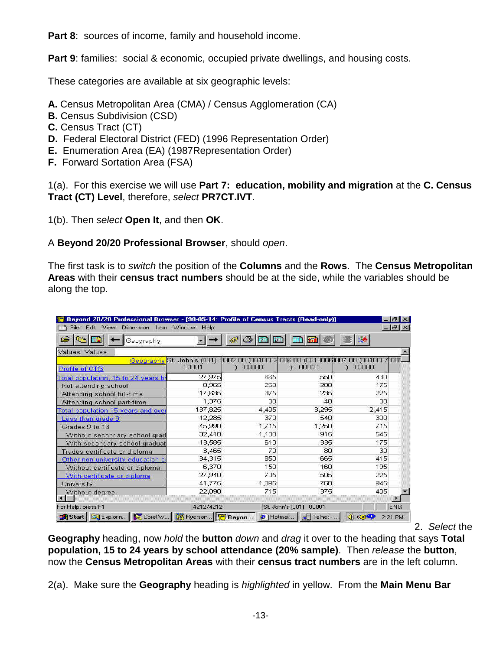**Part 8**: sources of income, family and household income.

**Part 9:** families: social & economic, occupied private dwellings, and housing costs.

These categories are available at six geographic levels:

- **A.** Census Metropolitan Area (CMA) / Census Agglomeration (CA)
- **B.** Census Subdivision (CSD)
- **C.** Census Tract (CT)
- **D.** Federal Electoral District (FED) (1996 Representation Order)
- **E.** Enumeration Area (EA) (1987Representation Order)
- **F.** Forward Sortation Area (FSA)

1(a). For this exercise we will use **Part 7: education, mobility and migration** at the **C. Census Tract (CT) Level**, therefore, *select* **PR7CT.IVT**.

1(b). Then *select* **Open It**, and then **OK**.

A **Beyond 20/20 Professional Browser**, should *open*.

The first task is to *switch* the position of the **Columns** and the **Rows**. The **Census Metropolitan Areas** with their **census tract numbers** should be at the side, while the variables should be along the top.

| Edit View Dimension Item Window Help<br>File |                            |        |                                                   | $- E  \times$ |            |  |  |
|----------------------------------------------|----------------------------|--------|---------------------------------------------------|---------------|------------|--|--|
| Geography                                    |                            | m<br>置 |                                                   | â             |            |  |  |
| Values: Values                               |                            |        |                                                   |               |            |  |  |
|                                              | Geography St. John's (001) |        | 0002.00 (0010002006.00 (0010006007.00 (0010007006 |               |            |  |  |
| Profile of CT(6                              | 00001                      | 00000  | 00000<br>э.                                       | 00000         |            |  |  |
| Total population, 15 to 24 years by          | 27,975                     | 665    | 550                                               | 430           |            |  |  |
| Not attending school                         | 8.965                      | 260    | 280                                               | 175           |            |  |  |
| Attending school full-time                   | 17,635                     | 375    | 235                                               | 225           |            |  |  |
| Attending school part-time                   | 1,375                      | 30     | 4 <sub>0</sub>                                    | 30            |            |  |  |
| Total population 15 years and over           | 137,825                    | 4,405  | 3,295                                             | 2,415         |            |  |  |
| Less than grade 9                            | 12,285                     | 370    | 540                                               | 300           |            |  |  |
| Grades 9 to 13                               | 45,990                     | 1,715  | 1,250                                             | 715           |            |  |  |
| Without secondary school grad                | 32,410                     | 1,100  | 915                                               | 545           |            |  |  |
| With secondary school graduat                | 13,585                     | 610    | 335                                               | 175           |            |  |  |
| Trades certificate or diploma                | 3,465                      | ZΩ     | 80                                                | 30            |            |  |  |
| Other non-university education of            | 34,315                     | 850    | 665                                               | 415           |            |  |  |
| Without certificate or diploma               | 6,370                      | 150    | 160                                               | 195           |            |  |  |
| With certificate or diploma                  | 27,940                     | 705    | 505                                               | 225           |            |  |  |
| University                                   | 41,775                     | 1,395  | 760                                               | 945           |            |  |  |
| Without degree                               | 22,090                     | 715    | 375                                               | 405           |            |  |  |
|                                              |                            |        |                                                   |               |            |  |  |
| For Help, press F1                           | 4212/4212                  |        | St. John's (001)<br>00001                         |               | <b>ENG</b> |  |  |

2. *Select* the

**Geography** heading, now *hold* the **button** *down* and *drag* it over to the heading that says **Total population, 15 to 24 years by school attendance (20% sample)**. Then *release* the **button**, now the **Census Metropolitan Areas** with their **census tract numbers** are in the left column.

2(a). Make sure the **Geography** heading is *highlighted* in yellow. From the **Main Menu Bar**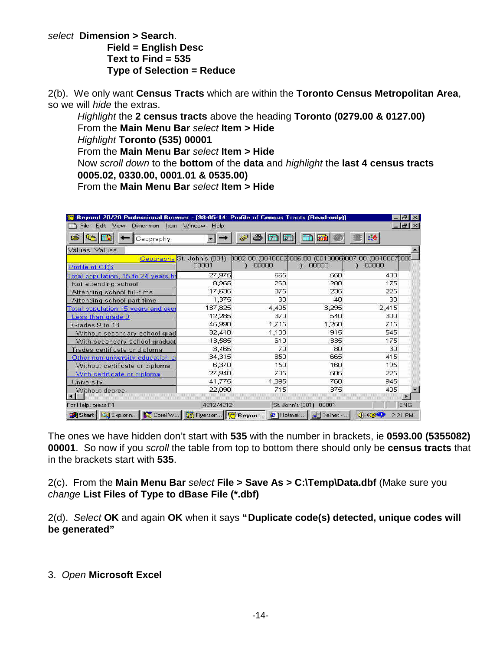*select* **Dimension > Search**. **Field = English Desc Text to Find = 535 Type of Selection = Reduce**

2(b). We only want **Census Tracts** which are within the **Toronto Census Metropolitan Area**, so we will *hide* the extras.

*Highlight* the **2 census tracts** above the heading **Toronto (0279.00 & 0127.00)**  From the **Main Menu Bar** *select* **Item > Hide** *Highlight* **Toronto (535) 00001** From the **Main Menu Bar** *select* **Item > Hide** Now *scroll down* to the **bottom** of the **data** and *highlight* the **last 4 census tracts 0005.02, 0330.00, 0001.01 & 0535.00)** From the **Main Menu Bar** *select* **Item > Hide**

| Beyond 20/20 Professional Browser - [98-05-14: Profile of Census Tracts [Read-only]]<br>Edit View Dimension Item Window Help<br>ile. |                                     |                                                               |                           |       | $F_X$<br>$ B$ $\times$ |
|--------------------------------------------------------------------------------------------------------------------------------------|-------------------------------------|---------------------------------------------------------------|---------------------------|-------|------------------------|
| œ<br>Geography                                                                                                                       |                                     | 禪                                                             |                           |       |                        |
| Values: Values                                                                                                                       |                                     |                                                               |                           |       |                        |
|                                                                                                                                      | Geography St. John's (001)<br>00001 | 0002.00 (00100020006.00 (00100060007.00 (00100070006<br>00000 | 00000                     | 00000 |                        |
| Profile of CT(6)                                                                                                                     |                                     |                                                               |                           |       |                        |
| Total population, 15 to 24 years by                                                                                                  | 27,975                              | 665                                                           | 550                       | 430   |                        |
| Not attending school                                                                                                                 | 8,965                               | 260                                                           | 280                       | 175   |                        |
| Attending school full-time                                                                                                           | 17,635                              | 375                                                           | 235                       | 225   |                        |
| Attending school part-time                                                                                                           | 1,375                               | 30                                                            | 4 <sub>0</sub>            | 30    |                        |
| Total population 15 years and over                                                                                                   | 137,825                             | 4,405                                                         | 3,295                     | 2,415 |                        |
| Less than grade 9                                                                                                                    | 12,285                              | 370                                                           | 540                       | 300   |                        |
| Grades 9 to 13                                                                                                                       | 45,990                              | 1,715                                                         | 1,250                     | 715   |                        |
| Without secondary school grad                                                                                                        | 32,410                              | 1,100                                                         | 915                       | 545   |                        |
| With secondary school graduat                                                                                                        | 13,585                              | 610                                                           | 335                       | 175   |                        |
| Trades certificate or diploma                                                                                                        | 3,465                               | 70                                                            | 80                        | 30    |                        |
| Other non-university education of                                                                                                    | 34,315                              | 850                                                           | 665                       | 415   |                        |
| Without certificate or diploma                                                                                                       | 6,370                               | 150                                                           | 160                       | 195   |                        |
| With certificate or diploma                                                                                                          | 27,940                              | 705                                                           | 505                       | 225   |                        |
| University                                                                                                                           | 41,775                              | 1,395                                                         | 760                       | 945   |                        |
| Without degree                                                                                                                       | 22,090                              | 715                                                           | 375                       | 405   |                        |
| For Help, press F1                                                                                                                   | 4212/4212                           |                                                               | St. John's (001)<br>00001 |       | <b>ENG</b>             |
| Start   Q Explorin   Corel W   W Ryerson   F Beyon                                                                                   |                                     | <sup>2</sup> Hotmail                                          | Telnet -                  | 4000  | 2:21 PM                |

The ones we have hidden don't start with **535** with the number in brackets, ie **0593.00 (5355082) 00001**. So now if you *scroll* the table from top to bottom there should only be **census tracts** that in the brackets start with **535**.

2(c). From the **Main Menu Bar** *select* **File > Save As > C:\Temp\Data.dbf** (Make sure you *change* **List Files of Type to dBase File (\*.dbf)**

2(d). *Select* **OK** and again **OK** when it says **"Duplicate code(s) detected, unique codes will be generated"**

3. *Open* **Microsoft Excel**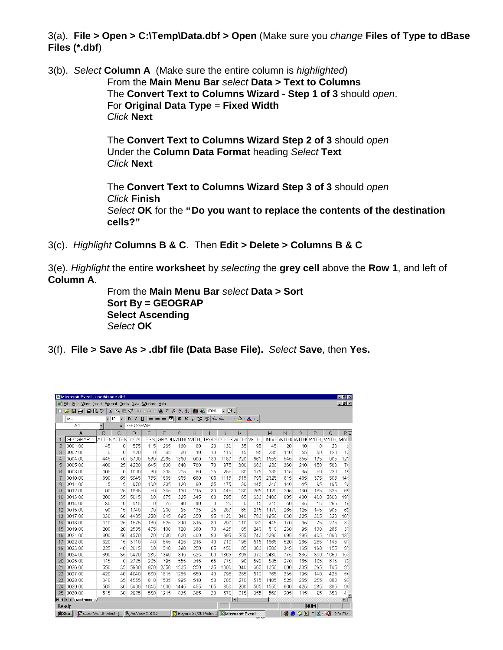3(a). **File > Open > C:\Temp\Data.dbf > Open** (Make sure you *change* **Files of Type to dBase Files (\*.dbf**)

3(b). *Select* **Column A** (Make sure the entire column is *highlighted*) From the **Main Menu Bar** *select* **Data > Text to Columns** The **Convert Text to Columns Wizard - Step 1 of 3** should *open*. For **Original Data Type** = **Fixed Width** *Click* **Next**

> The **Convert Text to Columns Wizard Step 2 of 3** should *open* Under the **Column Data Format** heading *Select* **Text** *Click* **Next**

The **Convert Text to Columns Wizard Step 3 of 3** should *open Click* **Finish** *Select* **OK** for the **"Do you want to replace the contents of the destination cells?"**

3(c). *Highlight* **Columns B & C**. Then **Edit > Delete > Columns B & C**

3(e). *Highlight* the entire **worksheet** by *selecting* the **grey cell** above the **Row 1**, and left of **Column A**.

> From the **Main Menu Bar** *select* **Data > Sort Sort By = GEOGRAP Select Ascending** *Select* **OK**

3(f). **File > Save As > .dbf file (Data Base File).** *Select* **Save**, then **Yes.**

|                | Microsoft Excel - usethisone.dbf                    |                          |                                |                         |                 |                                                                     |          |                                                         |                |                                           |                                 |     |      |     |           |                                          |      | $-10x$          |
|----------------|-----------------------------------------------------|--------------------------|--------------------------------|-------------------------|-----------------|---------------------------------------------------------------------|----------|---------------------------------------------------------|----------------|-------------------------------------------|---------------------------------|-----|------|-----|-----------|------------------------------------------|------|-----------------|
|                | File Edit View Insert Format Tools Data Window Help |                          |                                |                         |                 |                                                                     |          |                                                         |                |                                           |                                 |     |      |     |           |                                          |      | $-B$ $\times$   |
|                | $A$ $B$ $B$ $C$<br>Ê<br>ы                           | $\mathbf{x}$             | ■■■ ◆                          |                         | $ C $ = $ C $ = | $2 \times 2$ $2$                                                    |          | M.                                                      | 45 100%        | $\boxed{2}$ .<br>$\overline{\phantom{a}}$ |                                 |     |      |     |           |                                          |      |                 |
|                | Arial                                               | $\overline{\phantom{0}}$ | $\overline{\phantom{a}}$<br>10 | $B$ $I$<br>$\mathbf{U}$ |                 | 医毒毒菌                                                                | $$ \%$ , | $^{+.0}_{-00}$                                          | $^{+00}_{+00}$ | 使使                                        | $\Box$ $\Delta$ $\Delta$ $\Box$ |     |      |     |           |                                          |      |                 |
|                | A <sub>1</sub>                                      | ▼                        | $\blacksquare$                 | <b>GEOGRAP</b>          |                 |                                                                     |          |                                                         |                |                                           |                                 |     |      |     |           |                                          |      |                 |
|                | A                                                   | B                        | C                              | D                       | E               | F                                                                   | G        | Н                                                       |                | J                                         | Κ                               |     | M    | N   | $\circ$   | P                                        | Q    | $R^-$           |
|                | <b>GEOGRAP</b>                                      |                          |                                | ATTEN ATTEN TOTAL LESS  |                 | GRADI WITH WITH TRADEOTHEF WITH WITH UNIVE WITH WITH WITH WITH MALL |          |                                                         |                |                                           |                                 |     |      |     |           |                                          |      |                 |
| $\overline{2}$ | 0001.00                                             | 45                       | 0                              | 575                     | 115             | 265                                                                 | 180      | 80                                                      | 20             | 130                                       | 35                              | 95  | 45   | 20  | 10        | 10                                       | 20   |                 |
| 3              | 0002.00                                             | 0                        | $\Omega$                       | 420                     | 0               | 65                                                                  | 60       | 10                                                      | 10             | 115                                       | 15                              | 95  | 235  | 110 | 55        | 60                                       | 120  | 11              |
| 4              | 0004.00                                             | 445                      | 70                             | 5700                    | 580             | 2265                                                                | 1360     | 900                                                     | 130            | 1180                                      | 320                             | 860 | 1555 | 545 | 355       | 195                                      | 1005 | 120             |
| 5              | 0005.00                                             | 400                      | 25                             | 4220                    | 645             | 1600                                                                | 840      | 760                                                     | 70             | 975                                       | 300                             | 680 | 920  | 360 | 210       | 150                                      | 560  | 7 <sub>i</sub>  |
| 6              | 0008.00                                             | 105                      | $\theta$                       | 1000                    | 80              | 305                                                                 | 225      | 80                                                      | 25             | 255                                       | 80                              | 175 | 335  | 115 | 65        | 50                                       | 220  | 11              |
|                | 0010.00                                             | 390                      | 65                             | 5945                    | 765             | 1635                                                                | 955      | 680                                                     | 105            | 1115                                      | 315                             | 795 | 2325 | 815 | 435       | 375                                      | 1505 | 14              |
| 8              | 0011.00                                             | 15                       | 15                             | 870                     | 100             | 205                                                                 | 120      | 90                                                      | 35             | 175                                       | 30                              | 145 | 340  | 140 | 45        | 95                                       | 195  | 26              |
| 9              | 0012.00                                             | 90                       | 25                             | 1985                    | 50              | 345                                                                 | 130      | 215                                                     | 30             | 445                                       | 180                             | 265 | 1120 | 295 | 130       | 165                                      | 825  | 68              |
| 10             | 0013.00                                             | 200                      | 35                             | 5015                    | 60              | 675                                                                 | 325      | 345                                                     | 80             | 795                                       | 165                             | 630 | 3400 | 805 | 400       | 400                                      | 2600 | 19              |
| 11             | 0014.00                                             | 30                       | 10                             | 415                     | $\theta$        | 75                                                                  | 40       | 40                                                      | 0              | 20                                        | 0                               | 15  | 315  | 50  | 35        | 15                                       | 265  | 16              |
| 12             | 0015.00                                             | 90                       | 15                             | 1740                    | 30              | 230                                                                 | 95       | 135                                                     | 25             | 280                                       | 65                              | 215 | 1170 | 265 | 125       | 145                                      | 905  | 69              |
| 13             | 0017.00                                             | 330                      | 60                             | 4435                    | 220             | 1045                                                                | 695      | 350                                                     | 95             | 1120                                      | 340                             | 780 | 1950 | 630 | 325       | 305                                      | 1320 | 10 <sup>°</sup> |
| 14             | 0018.00                                             | 110                      | 25                             | 1575                    | 180             | 625                                                                 | 310      | 315                                                     | 30             | 290                                       | 110                             | 180 | 445  | 170 | 95        | 75                                       | 275  | 3               |
| 15             | 0019.00                                             | 200                      | 20                             | 2585                    | 475             | 1100                                                                | 720      | 380                                                     | 70             | 425                                       | 185                             | 240 | 510  | 230 | 95        | 130                                      | 285  | $3^{\circ}$     |
| 16             | 0021.00                                             | 300                      | 50                             | 4570                    | 70              | 1030                                                                | 630      | 400                                                     | 80             | 995                                       | 255                             | 740 | 2390 | 695 | 295       | 405                                      | 1690 | 13'             |
| 17             | 0022.00                                             | 320                      | 15                             | 3110                    | 40              | 645                                                                 | 425      | 215                                                     | 40             | 710                                       | 195                             | 515 | 1665 | 520 | 265       | 255                                      | 1145 | 0.              |
| 18             | 0023.00                                             | 225                      | 40                             | 2615                    | 60              | 540                                                                 | 290      | 250                                                     | 65             | 450                                       | 95                              | 360 | 1500 | 345 | 165       | 180                                      | 1155 | 8               |
| 19             | 0024.00                                             | 390                      | 35                             | 5470                    | 235             | 1340                                                                | 815      | 525                                                     | 100            | 1365                                      | 395                             | 970 | 2430 | 775 | 385       | 390                                      | 1660 | 150             |
| 20             | 0025.00                                             | 145                      | $\theta$                       | 2725                    | 205             | 795                                                                 | 555      | 245                                                     | 65             | 775                                       | 190                             | 590 | 885  | 270 | 165       | 105                                      | 615  | 70              |
| 21             | 0026.00                                             | 550                      | 35                             | 5800                    | 970             | 2350                                                                | 1505     | 850                                                     | 135            | 1000                                      | 340                             | 665 | 1350 | 600 | 305       | 295                                      | 745  | 8               |
| 22             | 0027.00                                             | 420                      | 40                             | 4040                    | 630             | 1815                                                                | 1265     | 550                                                     | 40             | 795                                       | 285                             | 510 | 765  | 335 | 195       | 140                                      | 425  | 54              |
| 23             | 0028.00                                             | 340                      | 35                             | 4555                    | 810             | 1505                                                                | 995      | 510                                                     | 50             | 785                                       | 270                             | 515 | 1405 | 525 | 265       | 255                                      | 880  | 90              |
| 24             | 0029.00                                             | 565                      | 30                             | 5460                    | 1045            | 1900                                                                | 1445     | 455                                                     | 105            | 850                                       | 290                             | 565 | 1555 | 660 | 425       | 235                                      | 895  | 96              |
| 25             | 0030.00                                             | 545                      | 30                             | 2925                    | 550             | 1215                                                                | 835      | 385                                                     | 30             | 570                                       | 215                             | 355 | 560  | 205 | 115       | 95                                       | 350  | $4\frac{1}{2}$  |
|                | <b>I I I I L</b> usethisone                         |                          |                                |                         |                 |                                                                     |          |                                                         |                |                                           | $\blacksquare$                  |     |      |     |           |                                          |      | ΣΓ              |
| Ready          |                                                     |                          |                                |                         |                 |                                                                     |          |                                                         |                |                                           |                                 |     |      |     |           | <b>NUM</b>                               |      |                 |
|                | Corel WordPerfect - [<br><b>B</b> Start             |                          |                                | ArcView GIS 3.2         |                 |                                                                     |          | <b>F</b> Beyond 20/20 Profes <b>X</b> Microsoft Excel - |                |                                           |                                 |     |      | 寥   | e si<br>M | $\boldsymbol{\varkappa}$<br>$\mathbf{R}$ | 嘴    | 2:34 PM         |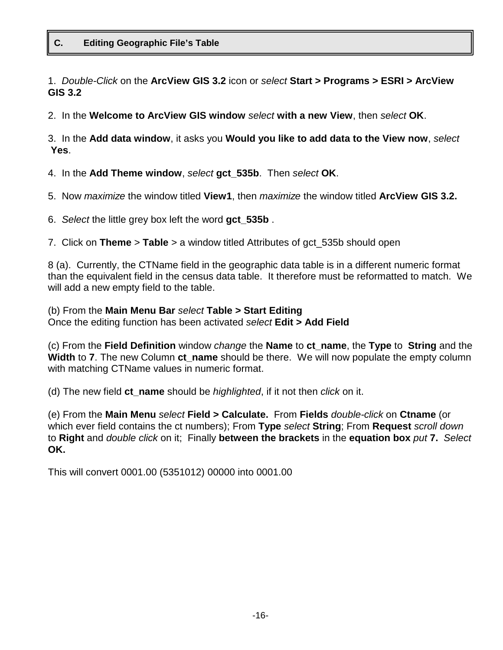#### **C. Editing Geographic File's Table**

1. *Double-Click* on the **ArcView GIS 3.2** icon or *select* **Start > Programs > ESRI > ArcView GIS 3.2** 

2. In the **Welcome to ArcView GIS window** *select* **with a new View**, then *select* **OK**.

3. In the **Add data window**, it asks you **Would you like to add data to the View now**, *select* **Yes**.

4. In the **Add Theme window**, *select* **gct\_535b**. Then *select* **OK**.

- 5. Now *maximize* the window titled **View1**, then *maximize* the window titled **ArcView GIS 3.2.**
- 6. *Select* the little grey box left the word **gct\_535b** .

7. Click on **Theme** > **Table** > a window titled Attributes of gct\_535b should open

8 (a). Currently, the CTName field in the geographic data table is in a different numeric format than the equivalent field in the census data table. It therefore must be reformatted to match. We will add a new empty field to the table.

(b) From the **Main Menu Bar** *select* **Table > Start Editing**  Once the editing function has been activated *select* **Edit > Add Field**

(c) From the **Field Definition** window *change* the **Name** to **ct\_name**, the **Type** to **String** and the **Width** to **7**. The new Column ct name should be there. We will now populate the empty column with matching CTName values in numeric format.

(d) The new field **ct\_name** should be *highlighted*, if it not then *click* on it.

(e) From the **Main Menu** *select* **Field > Calculate.** From **Fields** *double-click* on **Ctname** (or which ever field contains the ct numbers); From **Type** *select* **String**; From **Request** *scroll down* to **Right** and *double click* on it; Finally **between the brackets** in the **equation box** *put* **7.** *Select* **OK.**

This will convert 0001.00 (5351012) 00000 into 0001.00